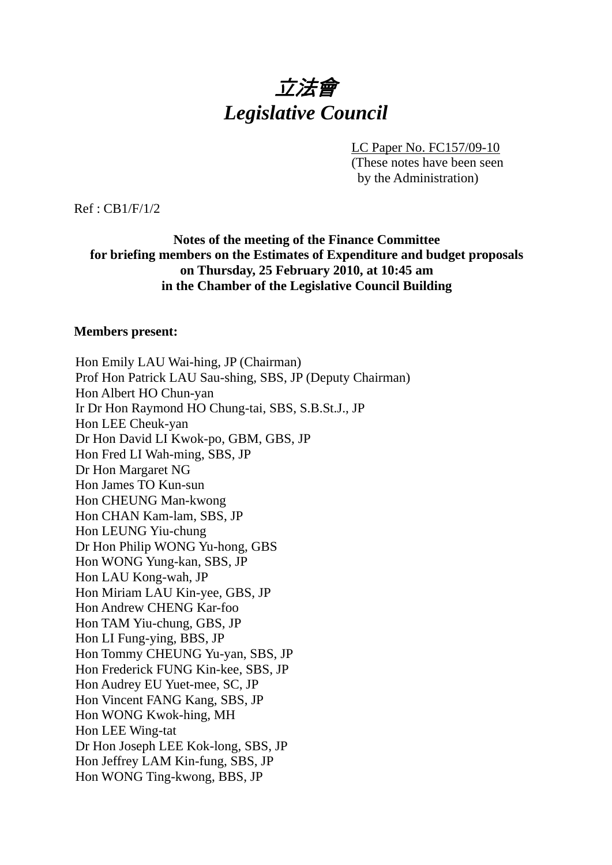# 立法會 *Legislative Council*

LC Paper No. FC157/09-10

(These notes have been seen by the Administration)

Ref : CB1/F/1/2

## **Notes of the meeting of the Finance Committee for briefing members on the Estimates of Expenditure and budget proposals on Thursday, 25 February 2010, at 10:45 am in the Chamber of the Legislative Council Building**

#### **Members present:**

Hon Emily LAU Wai-hing, JP (Chairman) Prof Hon Patrick LAU Sau-shing, SBS, JP (Deputy Chairman) Hon Albert HO Chun-yan Ir Dr Hon Raymond HO Chung-tai, SBS, S.B.St.J., JP Hon LEE Cheuk-yan Dr Hon David LI Kwok-po, GBM, GBS, JP Hon Fred LI Wah-ming, SBS, JP Dr Hon Margaret NG Hon James TO Kun-sun Hon CHEUNG Man-kwong Hon CHAN Kam-lam, SBS, JP Hon LEUNG Yiu-chung Dr Hon Philip WONG Yu-hong, GBS Hon WONG Yung-kan, SBS, JP Hon LAU Kong-wah, JP Hon Miriam LAU Kin-yee, GBS, JP Hon Andrew CHENG Kar-foo Hon TAM Yiu-chung, GBS, JP Hon LI Fung-ying, BBS, JP Hon Tommy CHEUNG Yu-yan, SBS, JP Hon Frederick FUNG Kin-kee, SBS, JP Hon Audrey EU Yuet-mee, SC, JP Hon Vincent FANG Kang, SBS, JP Hon WONG Kwok-hing, MH Hon LEE Wing-tat Dr Hon Joseph LEE Kok-long, SBS, JP Hon Jeffrey LAM Kin-fung, SBS, JP Hon WONG Ting-kwong, BBS, JP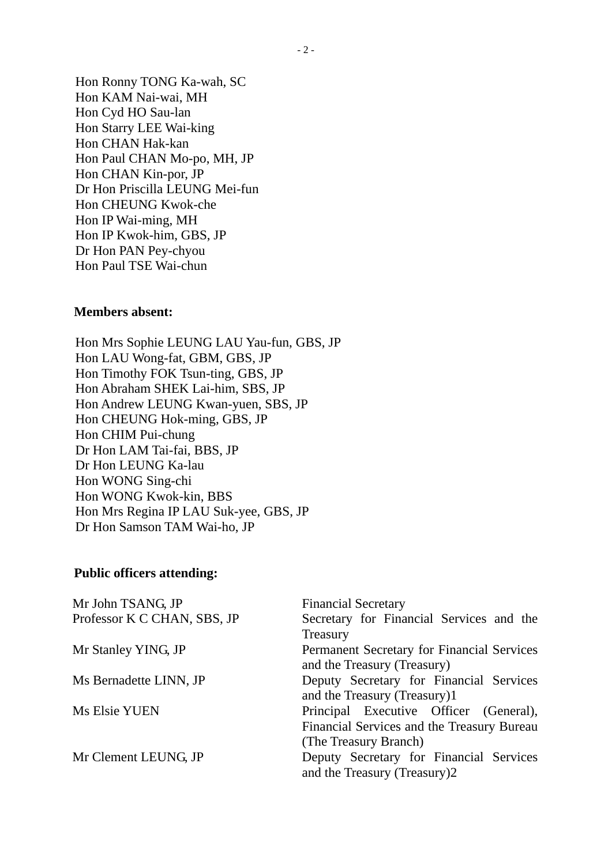Hon Ronny TONG Ka-wah, SC Hon KAM Nai-wai, MH Hon Cyd HO Sau-lan Hon Starry LEE Wai-king Hon CHAN Hak-kan Hon Paul CHAN Mo-po, MH, JP Hon CHAN Kin-por, JP Dr Hon Priscilla LEUNG Mei-fun Hon CHEUNG Kwok-che Hon IP Wai-ming, MH Hon IP Kwok-him, GBS, JP Dr Hon PAN Pey-chyou Hon Paul TSE Wai-chun

#### **Members absent:**

Hon Mrs Sophie LEUNG LAU Yau-fun, GBS, JP Hon LAU Wong-fat, GBM, GBS, JP Hon Timothy FOK Tsun-ting, GBS, JP Hon Abraham SHEK Lai-him, SBS, JP Hon Andrew LEUNG Kwan-yuen, SBS, JP Hon CHEUNG Hok-ming, GBS, JP Hon CHIM Pui-chung Dr Hon LAM Tai-fai, BBS, JP Dr Hon LEUNG Ka-lau Hon WONG Sing-chi Hon WONG Kwok-kin, BBS Hon Mrs Regina IP LAU Suk-yee, GBS, JP Dr Hon Samson TAM Wai-ho, JP

#### **Public officers attending:**

| Mr John TSANG, JP           | <b>Financial Secretary</b>                 |
|-----------------------------|--------------------------------------------|
| Professor K C CHAN, SBS, JP | Secretary for Financial Services and the   |
|                             | Treasury                                   |
| Mr Stanley YING, JP         | Permanent Secretary for Financial Services |
|                             | and the Treasury (Treasury)                |
| Ms Bernadette LINN, JP      | Deputy Secretary for Financial Services    |
|                             | and the Treasury (Treasury)1               |
| Ms Elsie YUEN               | Principal Executive Officer (General),     |
|                             | Financial Services and the Treasury Bureau |
|                             | (The Treasury Branch)                      |
| Mr Clement LEUNG, JP        | Deputy Secretary for Financial Services    |
|                             | and the Treasury (Treasury)2               |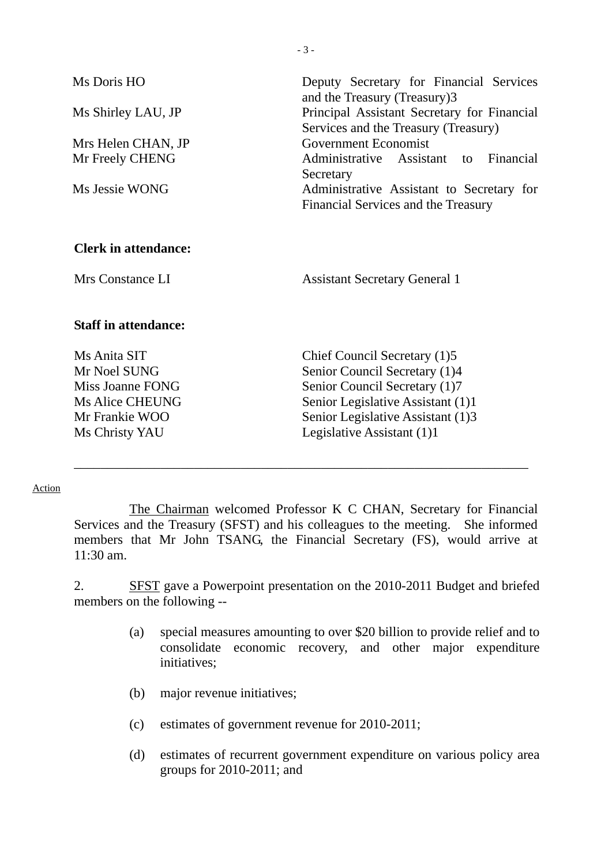| Ms Doris HO<br>Ms Shirley LAU, JP<br>Mrs Helen CHAN, JP<br>Mr Freely CHENG<br>Ms Jessie WONG                   | Deputy Secretary for Financial Services<br>and the Treasury (Treasury)3<br>Principal Assistant Secretary for Financial<br>Services and the Treasury (Treasury)<br>Government Economist<br>Administrative Assistant to Financial<br>Secretary<br>Administrative Assistant to Secretary for<br>Financial Services and the Treasury |
|----------------------------------------------------------------------------------------------------------------|----------------------------------------------------------------------------------------------------------------------------------------------------------------------------------------------------------------------------------------------------------------------------------------------------------------------------------|
| <b>Clerk in attendance:</b><br>Mrs Constance LI                                                                | <b>Assistant Secretary General 1</b>                                                                                                                                                                                                                                                                                             |
| <b>Staff in attendance:</b>                                                                                    |                                                                                                                                                                                                                                                                                                                                  |
| Ms Anita SIT<br>Mr Noel SUNG<br>Miss Joanne FONG<br><b>Ms Alice CHEUNG</b><br>Mr Frankie WOO<br>Ms Christy YAU | Chief Council Secretary (1)5<br>Senior Council Secretary (1)4<br>Senior Council Secretary (1)7<br>Senior Legislative Assistant (1)1<br>Senior Legislative Assistant (1)3<br>Legislative Assistant (1)1                                                                                                                           |

 $-3-$ 

#### Action

 The Chairman welcomed Professor K C CHAN, Secretary for Financial Services and the Treasury (SFST) and his colleagues to the meeting. She informed members that Mr John TSANG, the Financial Secretary (FS), would arrive at 11:30 am.

\_\_\_\_\_\_\_\_\_\_\_\_\_\_\_\_\_\_\_\_\_\_\_\_\_\_\_\_\_\_\_\_\_\_\_\_\_\_\_\_\_\_\_\_\_\_\_\_\_\_\_\_\_\_\_\_\_\_\_\_\_\_\_\_\_\_\_\_

2. SFST gave a Powerpoint presentation on the 2010-2011 Budget and briefed members on the following --

- (a) special measures amounting to over \$20 billion to provide relief and to consolidate economic recovery, and other major expenditure initiatives;
- (b) major revenue initiatives;
- (c) estimates of government revenue for 2010-2011;
- (d) estimates of recurrent government expenditure on various policy area groups for 2010-2011; and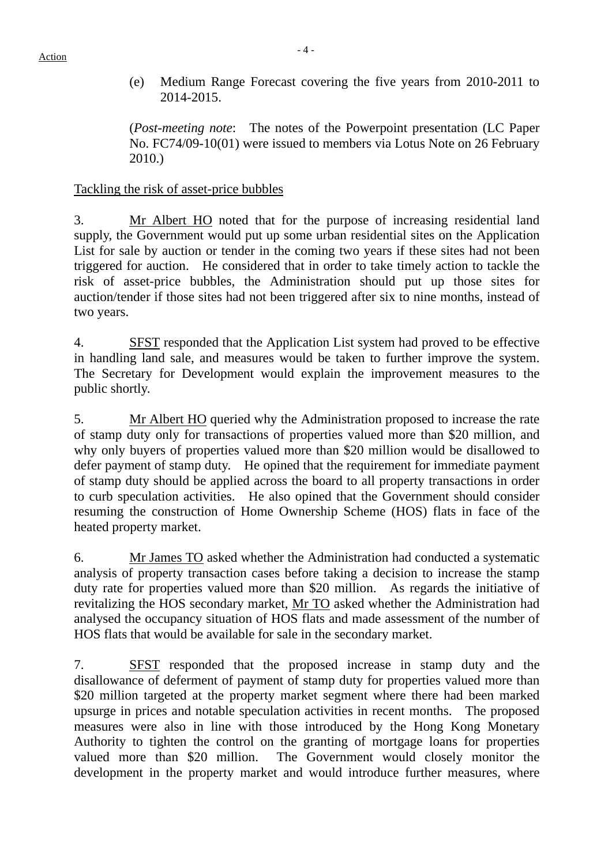(e) Medium Range Forecast covering the five years from 2010-2011 to 2014-2015.

 (*Post-meeting note*: The notes of the Powerpoint presentation (LC Paper No. FC74/09-10(01) were issued to members via Lotus Note on 26 February 2010.)

## Tackling the risk of asset-price bubbles

3. Mr Albert HO noted that for the purpose of increasing residential land supply, the Government would put up some urban residential sites on the Application List for sale by auction or tender in the coming two years if these sites had not been triggered for auction. He considered that in order to take timely action to tackle the risk of asset-price bubbles, the Administration should put up those sites for auction/tender if those sites had not been triggered after six to nine months, instead of two years.

4. SFST responded that the Application List system had proved to be effective in handling land sale, and measures would be taken to further improve the system. The Secretary for Development would explain the improvement measures to the public shortly.

5. Mr Albert HO queried why the Administration proposed to increase the rate of stamp duty only for transactions of properties valued more than \$20 million, and why only buyers of properties valued more than \$20 million would be disallowed to defer payment of stamp duty. He opined that the requirement for immediate payment of stamp duty should be applied across the board to all property transactions in order to curb speculation activities. He also opined that the Government should consider resuming the construction of Home Ownership Scheme (HOS) flats in face of the heated property market.

6. Mr James TO asked whether the Administration had conducted a systematic analysis of property transaction cases before taking a decision to increase the stamp duty rate for properties valued more than \$20 million. As regards the initiative of revitalizing the HOS secondary market, Mr TO asked whether the Administration had analysed the occupancy situation of HOS flats and made assessment of the number of HOS flats that would be available for sale in the secondary market.

7. SFST responded that the proposed increase in stamp duty and the disallowance of deferment of payment of stamp duty for properties valued more than \$20 million targeted at the property market segment where there had been marked upsurge in prices and notable speculation activities in recent months. The proposed measures were also in line with those introduced by the Hong Kong Monetary Authority to tighten the control on the granting of mortgage loans for properties valued more than \$20 million. The Government would closely monitor the development in the property market and would introduce further measures, where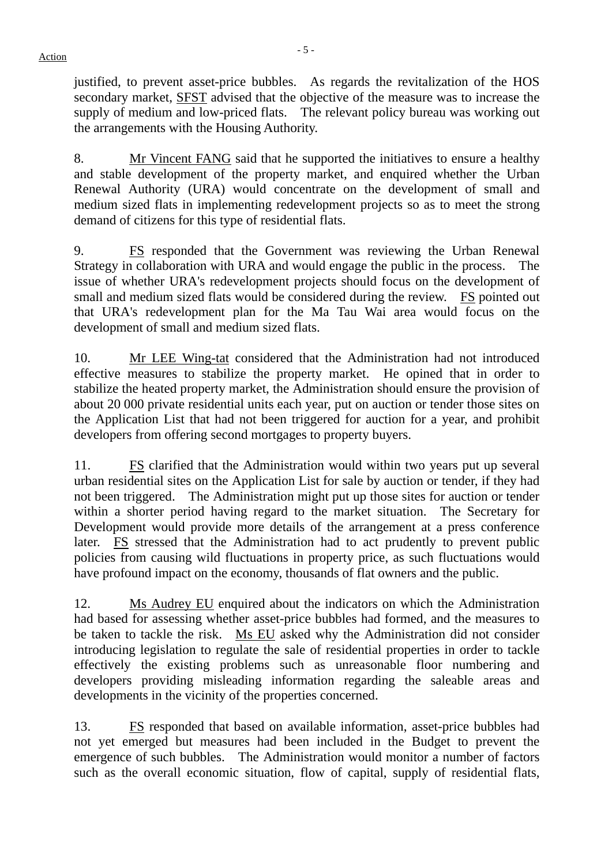Action **Figure 2** - 5 -

justified, to prevent asset-price bubbles. As regards the revitalization of the HOS secondary market, SFST advised that the objective of the measure was to increase the supply of medium and low-priced flats. The relevant policy bureau was working out the arrangements with the Housing Authority.

8. Mr Vincent FANG said that he supported the initiatives to ensure a healthy and stable development of the property market, and enquired whether the Urban Renewal Authority (URA) would concentrate on the development of small and medium sized flats in implementing redevelopment projects so as to meet the strong demand of citizens for this type of residential flats.

9. FS responded that the Government was reviewing the Urban Renewal Strategy in collaboration with URA and would engage the public in the process. The issue of whether URA's redevelopment projects should focus on the development of small and medium sized flats would be considered during the review. FS pointed out that URA's redevelopment plan for the Ma Tau Wai area would focus on the development of small and medium sized flats.

10. Mr LEE Wing-tat considered that the Administration had not introduced effective measures to stabilize the property market. He opined that in order to stabilize the heated property market, the Administration should ensure the provision of about 20 000 private residential units each year, put on auction or tender those sites on the Application List that had not been triggered for auction for a year, and prohibit developers from offering second mortgages to property buyers.

11. FS clarified that the Administration would within two years put up several urban residential sites on the Application List for sale by auction or tender, if they had not been triggered. The Administration might put up those sites for auction or tender within a shorter period having regard to the market situation. The Secretary for Development would provide more details of the arrangement at a press conference later. FS stressed that the Administration had to act prudently to prevent public policies from causing wild fluctuations in property price, as such fluctuations would have profound impact on the economy, thousands of flat owners and the public.

12. Ms Audrey EU enquired about the indicators on which the Administration had based for assessing whether asset-price bubbles had formed, and the measures to be taken to tackle the risk. Ms EU asked why the Administration did not consider introducing legislation to regulate the sale of residential properties in order to tackle effectively the existing problems such as unreasonable floor numbering and developers providing misleading information regarding the saleable areas and developments in the vicinity of the properties concerned.

13. FS responded that based on available information, asset-price bubbles had not yet emerged but measures had been included in the Budget to prevent the emergence of such bubbles. The Administration would monitor a number of factors such as the overall economic situation, flow of capital, supply of residential flats,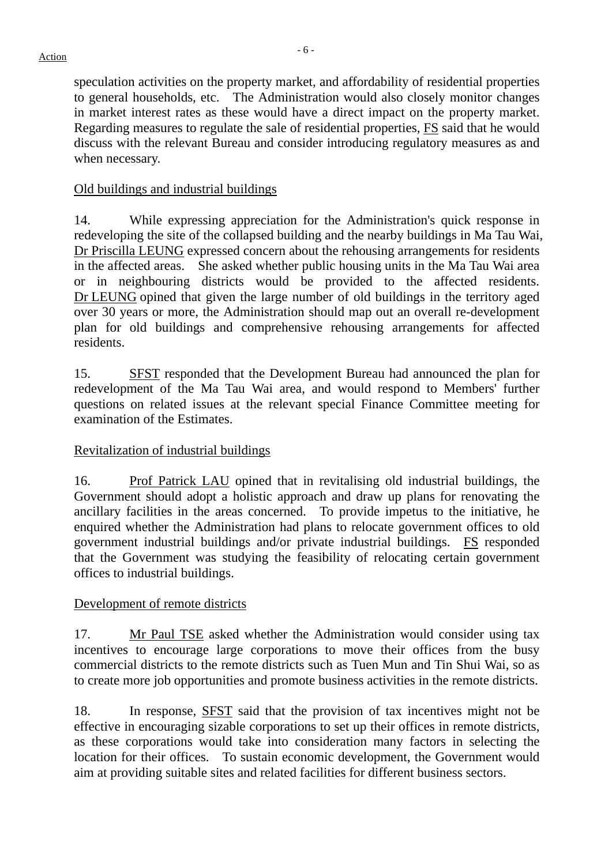speculation activities on the property market, and affordability of residential properties to general households, etc. The Administration would also closely monitor changes in market interest rates as these would have a direct impact on the property market. Regarding measures to regulate the sale of residential properties, FS said that he would discuss with the relevant Bureau and consider introducing regulatory measures as and when necessary.

## Old buildings and industrial buildings

14. While expressing appreciation for the Administration's quick response in redeveloping the site of the collapsed building and the nearby buildings in Ma Tau Wai, Dr Priscilla LEUNG expressed concern about the rehousing arrangements for residents in the affected areas. She asked whether public housing units in the Ma Tau Wai area or in neighbouring districts would be provided to the affected residents. Dr LEUNG opined that given the large number of old buildings in the territory aged over 30 years or more, the Administration should map out an overall re-development plan for old buildings and comprehensive rehousing arrangements for affected residents.

15. SFST responded that the Development Bureau had announced the plan for redevelopment of the Ma Tau Wai area, and would respond to Members' further questions on related issues at the relevant special Finance Committee meeting for examination of the Estimates.

## Revitalization of industrial buildings

16. Prof Patrick LAU opined that in revitalising old industrial buildings, the Government should adopt a holistic approach and draw up plans for renovating the ancillary facilities in the areas concerned. To provide impetus to the initiative, he enquired whether the Administration had plans to relocate government offices to old government industrial buildings and/or private industrial buildings. FS responded that the Government was studying the feasibility of relocating certain government offices to industrial buildings.

## Development of remote districts

17. Mr Paul TSE asked whether the Administration would consider using tax incentives to encourage large corporations to move their offices from the busy commercial districts to the remote districts such as Tuen Mun and Tin Shui Wai, so as to create more job opportunities and promote business activities in the remote districts.

18. In response, SFST said that the provision of tax incentives might not be effective in encouraging sizable corporations to set up their offices in remote districts, as these corporations would take into consideration many factors in selecting the location for their offices. To sustain economic development, the Government would aim at providing suitable sites and related facilities for different business sectors.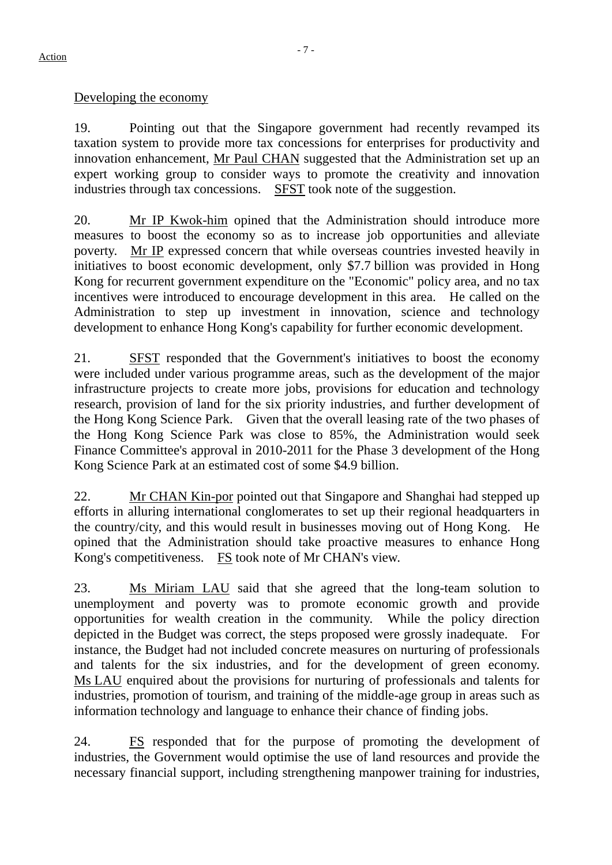Developing the economy

19. Pointing out that the Singapore government had recently revamped its taxation system to provide more tax concessions for enterprises for productivity and innovation enhancement, Mr Paul CHAN suggested that the Administration set up an expert working group to consider ways to promote the creativity and innovation industries through tax concessions. SFST took note of the suggestion.

20. Mr IP Kwok-him opined that the Administration should introduce more measures to boost the economy so as to increase job opportunities and alleviate poverty. Mr IP expressed concern that while overseas countries invested heavily in initiatives to boost economic development, only \$7.7 billion was provided in Hong Kong for recurrent government expenditure on the "Economic" policy area, and no tax incentives were introduced to encourage development in this area. He called on the Administration to step up investment in innovation, science and technology development to enhance Hong Kong's capability for further economic development.

21. SFST responded that the Government's initiatives to boost the economy were included under various programme areas, such as the development of the major infrastructure projects to create more jobs, provisions for education and technology research, provision of land for the six priority industries, and further development of the Hong Kong Science Park. Given that the overall leasing rate of the two phases of the Hong Kong Science Park was close to 85%, the Administration would seek Finance Committee's approval in 2010-2011 for the Phase 3 development of the Hong Kong Science Park at an estimated cost of some \$4.9 billion.

22. Mr CHAN Kin-por pointed out that Singapore and Shanghai had stepped up efforts in alluring international conglomerates to set up their regional headquarters in the country/city, and this would result in businesses moving out of Hong Kong. opined that the Administration should take proactive measures to enhance Hong Kong's competitiveness. FS took note of Mr CHAN's view.

23. Ms Miriam LAU said that she agreed that the long-team solution to unemployment and poverty was to promote economic growth and provide opportunities for wealth creation in the community. While the policy direction depicted in the Budget was correct, the steps proposed were grossly inadequate. For instance, the Budget had not included concrete measures on nurturing of professionals and talents for the six industries, and for the development of green economy. Ms LAU enquired about the provisions for nurturing of professionals and talents for industries, promotion of tourism, and training of the middle-age group in areas such as information technology and language to enhance their chance of finding jobs.

24. FS responded that for the purpose of promoting the development of industries, the Government would optimise the use of land resources and provide the necessary financial support, including strengthening manpower training for industries,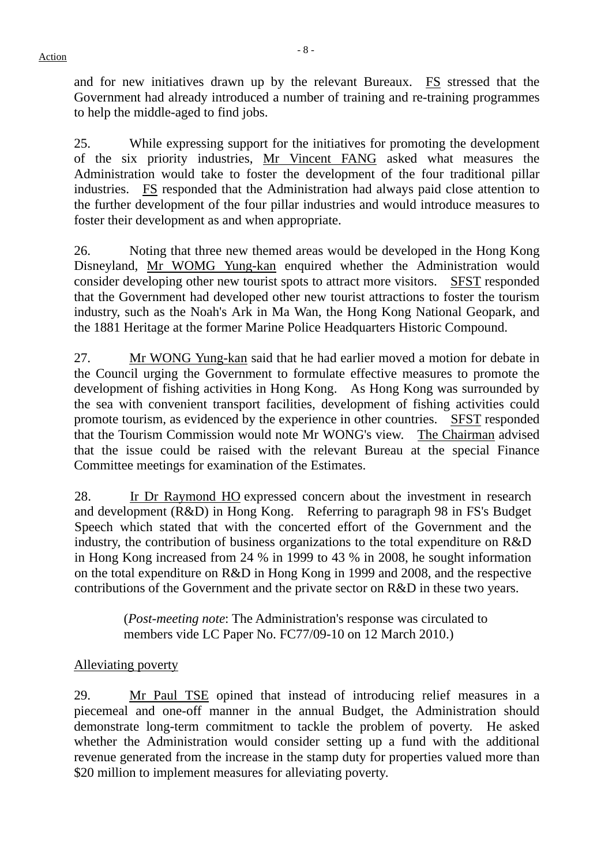and for new initiatives drawn up by the relevant Bureaux. FS stressed that the Government had already introduced a number of training and re-training programmes to help the middle-aged to find jobs.

25. While expressing support for the initiatives for promoting the development of the six priority industries, Mr Vincent FANG asked what measures the Administration would take to foster the development of the four traditional pillar industries. FS responded that the Administration had always paid close attention to the further development of the four pillar industries and would introduce measures to foster their development as and when appropriate.

26. Noting that three new themed areas would be developed in the Hong Kong Disneyland, Mr WOMG Yung-kan enquired whether the Administration would consider developing other new tourist spots to attract more visitors. SFST responded that the Government had developed other new tourist attractions to foster the tourism industry, such as the Noah's Ark in Ma Wan, the Hong Kong National Geopark, and the 1881 Heritage at the former Marine Police Headquarters Historic Compound.

27. Mr WONG Yung-kan said that he had earlier moved a motion for debate in the Council urging the Government to formulate effective measures to promote the development of fishing activities in Hong Kong. As Hong Kong was surrounded by the sea with convenient transport facilities, development of fishing activities could promote tourism, as evidenced by the experience in other countries. SFST responded that the Tourism Commission would note Mr WONG's view. The Chairman advised that the issue could be raised with the relevant Bureau at the special Finance Committee meetings for examination of the Estimates.

28. Ir Dr Raymond HO expressed concern about the investment in research and development (R&D) in Hong Kong. Referring to paragraph 98 in FS's Budget Speech which stated that with the concerted effort of the Government and the industry, the contribution of business organizations to the total expenditure on R&D in Hong Kong increased from 24 % in 1999 to 43 % in 2008, he sought information on the total expenditure on R&D in Hong Kong in 1999 and 2008, and the respective contributions of the Government and the private sector on R&D in these two years.

> (*Post-meeting note*: The Administration's response was circulated to members vide LC Paper No. FC77/09-10 on 12 March 2010.)

## Alleviating poverty

29. Mr Paul TSE opined that instead of introducing relief measures in a piecemeal and one-off manner in the annual Budget, the Administration should demonstrate long-term commitment to tackle the problem of poverty. He asked whether the Administration would consider setting up a fund with the additional revenue generated from the increase in the stamp duty for properties valued more than \$20 million to implement measures for alleviating poverty.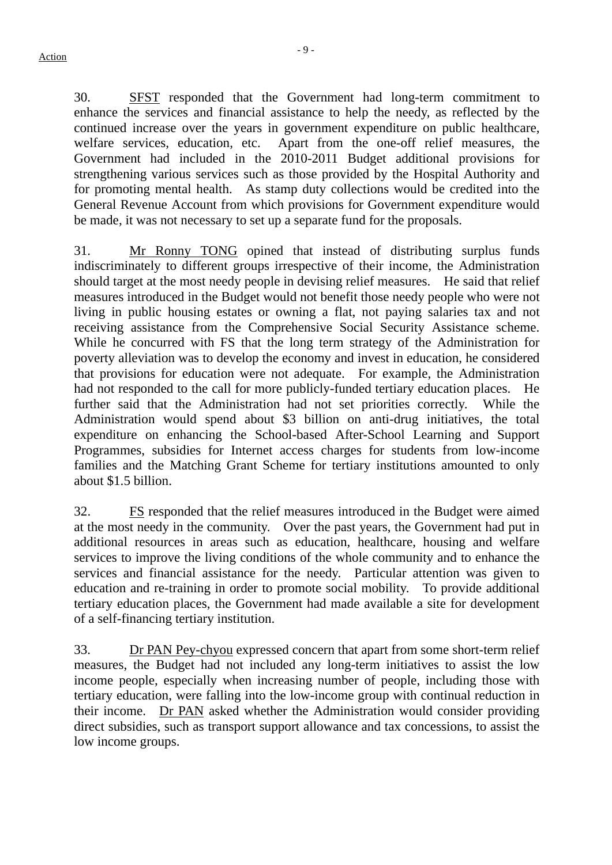30. SFST responded that the Government had long-term commitment to enhance the services and financial assistance to help the needy, as reflected by the continued increase over the years in government expenditure on public healthcare, welfare services, education, etc. Apart from the one-off relief measures, the Government had included in the 2010-2011 Budget additional provisions for strengthening various services such as those provided by the Hospital Authority and for promoting mental health. As stamp duty collections would be credited into the General Revenue Account from which provisions for Government expenditure would be made, it was not necessary to set up a separate fund for the proposals.

31. Mr Ronny TONG opined that instead of distributing surplus funds indiscriminately to different groups irrespective of their income, the Administration should target at the most needy people in devising relief measures. He said that relief measures introduced in the Budget would not benefit those needy people who were not living in public housing estates or owning a flat, not paying salaries tax and not receiving assistance from the Comprehensive Social Security Assistance scheme. While he concurred with FS that the long term strategy of the Administration for poverty alleviation was to develop the economy and invest in education, he considered that provisions for education were not adequate. For example, the Administration had not responded to the call for more publicly-funded tertiary education places. He further said that the Administration had not set priorities correctly. While the Administration would spend about \$3 billion on anti-drug initiatives, the total expenditure on enhancing the School-based After-School Learning and Support Programmes, subsidies for Internet access charges for students from low-income families and the Matching Grant Scheme for tertiary institutions amounted to only about \$1.5 billion.

32. FS responded that the relief measures introduced in the Budget were aimed at the most needy in the community. Over the past years, the Government had put in additional resources in areas such as education, healthcare, housing and welfare services to improve the living conditions of the whole community and to enhance the services and financial assistance for the needy. Particular attention was given to education and re-training in order to promote social mobility. To provide additional tertiary education places, the Government had made available a site for development of a self-financing tertiary institution.

33. Dr PAN Pey-chyou expressed concern that apart from some short-term relief measures, the Budget had not included any long-term initiatives to assist the low income people, especially when increasing number of people, including those with tertiary education, were falling into the low-income group with continual reduction in their income. Dr PAN asked whether the Administration would consider providing direct subsidies, such as transport support allowance and tax concessions, to assist the low income groups.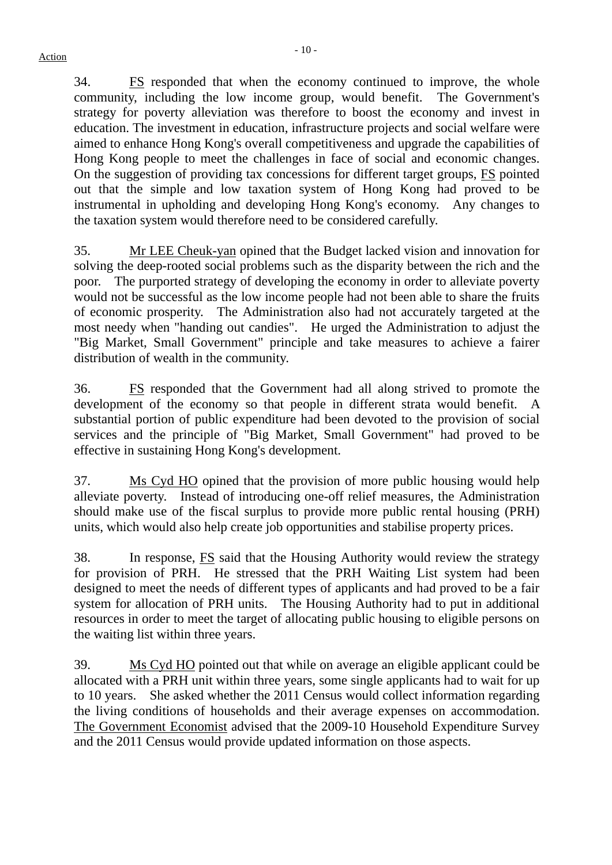34. FS responded that when the economy continued to improve, the whole community, including the low income group, would benefit. The Government's strategy for poverty alleviation was therefore to boost the economy and invest in education. The investment in education, infrastructure projects and social welfare were aimed to enhance Hong Kong's overall competitiveness and upgrade the capabilities of Hong Kong people to meet the challenges in face of social and economic changes. On the suggestion of providing tax concessions for different target groups, FS pointed out that the simple and low taxation system of Hong Kong had proved to be instrumental in upholding and developing Hong Kong's economy. Any changes to the taxation system would therefore need to be considered carefully.

35. Mr LEE Cheuk-yan opined that the Budget lacked vision and innovation for solving the deep-rooted social problems such as the disparity between the rich and the poor. The purported strategy of developing the economy in order to alleviate poverty would not be successful as the low income people had not been able to share the fruits of economic prosperity. The Administration also had not accurately targeted at the most needy when "handing out candies". He urged the Administration to adjust the "Big Market, Small Government" principle and take measures to achieve a fairer distribution of wealth in the community.

36. FS responded that the Government had all along strived to promote the development of the economy so that people in different strata would benefit. A substantial portion of public expenditure had been devoted to the provision of social services and the principle of "Big Market, Small Government" had proved to be effective in sustaining Hong Kong's development.

37. Ms Cyd HO opined that the provision of more public housing would help alleviate poverty. Instead of introducing one-off relief measures, the Administration should make use of the fiscal surplus to provide more public rental housing (PRH) units, which would also help create job opportunities and stabilise property prices.

38. In response, FS said that the Housing Authority would review the strategy for provision of PRH. He stressed that the PRH Waiting List system had been designed to meet the needs of different types of applicants and had proved to be a fair system for allocation of PRH units. The Housing Authority had to put in additional resources in order to meet the target of allocating public housing to eligible persons on the waiting list within three years.

39. Ms Cyd HO pointed out that while on average an eligible applicant could be allocated with a PRH unit within three years, some single applicants had to wait for up to 10 years. She asked whether the 2011 Census would collect information regarding the living conditions of households and their average expenses on accommodation. The Government Economist advised that the 2009-10 Household Expenditure Survey and the 2011 Census would provide updated information on those aspects.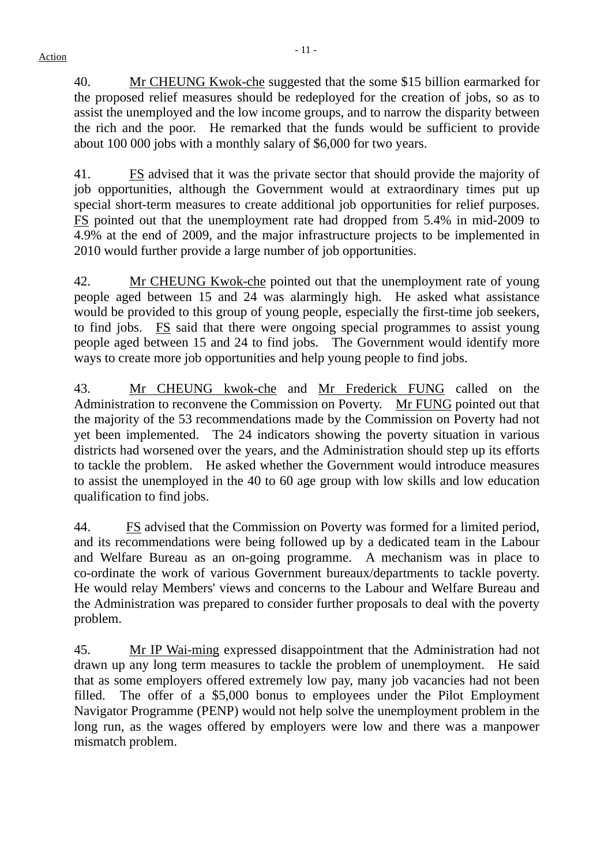40. Mr CHEUNG Kwok-che suggested that the some \$15 billion earmarked for the proposed relief measures should be redeployed for the creation of jobs, so as to assist the unemployed and the low income groups, and to narrow the disparity between the rich and the poor. He remarked that the funds would be sufficient to provide about 100 000 jobs with a monthly salary of \$6,000 for two years.

41. FS advised that it was the private sector that should provide the majority of job opportunities, although the Government would at extraordinary times put up special short-term measures to create additional job opportunities for relief purposes. FS pointed out that the unemployment rate had dropped from 5.4% in mid-2009 to 4.9% at the end of 2009, and the major infrastructure projects to be implemented in 2010 would further provide a large number of job opportunities.

42. Mr CHEUNG Kwok-che pointed out that the unemployment rate of young people aged between 15 and 24 was alarmingly high. He asked what assistance would be provided to this group of young people, especially the first-time job seekers, to find jobs. FS said that there were ongoing special programmes to assist young people aged between 15 and 24 to find jobs. The Government would identify more ways to create more job opportunities and help young people to find jobs.

43. Mr CHEUNG kwok-che and Mr Frederick FUNG called on the Administration to reconvene the Commission on Poverty. Mr FUNG pointed out that the majority of the 53 recommendations made by the Commission on Poverty had not yet been implemented. The 24 indicators showing the poverty situation in various districts had worsened over the years, and the Administration should step up its efforts to tackle the problem. He asked whether the Government would introduce measures to assist the unemployed in the 40 to 60 age group with low skills and low education qualification to find jobs.

44. FS advised that the Commission on Poverty was formed for a limited period, and its recommendations were being followed up by a dedicated team in the Labour and Welfare Bureau as an on-going programme. A mechanism was in place to co-ordinate the work of various Government bureaux/departments to tackle poverty. He would relay Members' views and concerns to the Labour and Welfare Bureau and the Administration was prepared to consider further proposals to deal with the poverty problem.

45. Mr IP Wai-ming expressed disappointment that the Administration had not drawn up any long term measures to tackle the problem of unemployment. He said that as some employers offered extremely low pay, many job vacancies had not been filled. The offer of a \$5,000 bonus to employees under the Pilot Employment Navigator Programme (PENP) would not help solve the unemployment problem in the long run, as the wages offered by employers were low and there was a manpower mismatch problem.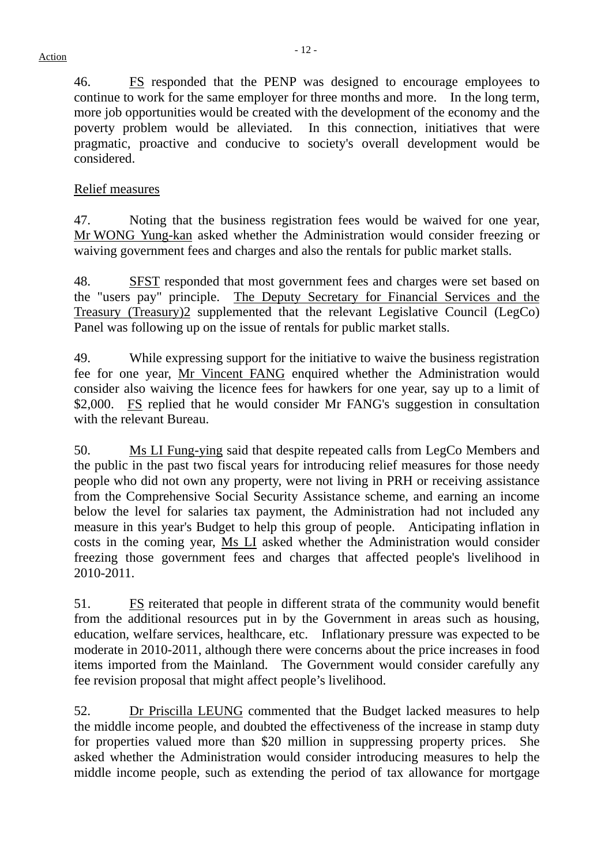46. FS responded that the PENP was designed to encourage employees to continue to work for the same employer for three months and more. In the long term, more job opportunities would be created with the development of the economy and the poverty problem would be alleviated. In this connection, initiatives that were pragmatic, proactive and conducive to society's overall development would be considered.

#### Relief measures

47. Noting that the business registration fees would be waived for one year, Mr WONG Yung-kan asked whether the Administration would consider freezing or waiving government fees and charges and also the rentals for public market stalls.

48. SFST responded that most government fees and charges were set based on the "users pay" principle. The Deputy Secretary for Financial Services and the Treasury (Treasury)2 supplemented that the relevant Legislative Council (LegCo) Panel was following up on the issue of rentals for public market stalls.

49. While expressing support for the initiative to waive the business registration fee for one year, Mr Vincent FANG enquired whether the Administration would consider also waiving the licence fees for hawkers for one year, say up to a limit of \$2,000. FS replied that he would consider Mr FANG's suggestion in consultation with the relevant Bureau.

50. Ms LI Fung-ying said that despite repeated calls from LegCo Members and the public in the past two fiscal years for introducing relief measures for those needy people who did not own any property, were not living in PRH or receiving assistance from the Comprehensive Social Security Assistance scheme, and earning an income below the level for salaries tax payment, the Administration had not included any measure in this year's Budget to help this group of people. Anticipating inflation in costs in the coming year, Ms LI asked whether the Administration would consider freezing those government fees and charges that affected people's livelihood in 2010-2011.

51. FS reiterated that people in different strata of the community would benefit from the additional resources put in by the Government in areas such as housing, education, welfare services, healthcare, etc. Inflationary pressure was expected to be moderate in 2010-2011, although there were concerns about the price increases in food items imported from the Mainland. The Government would consider carefully any fee revision proposal that might affect people's livelihood.

52. Dr Priscilla LEUNG commented that the Budget lacked measures to help the middle income people, and doubted the effectiveness of the increase in stamp duty for properties valued more than \$20 million in suppressing property prices. She asked whether the Administration would consider introducing measures to help the middle income people, such as extending the period of tax allowance for mortgage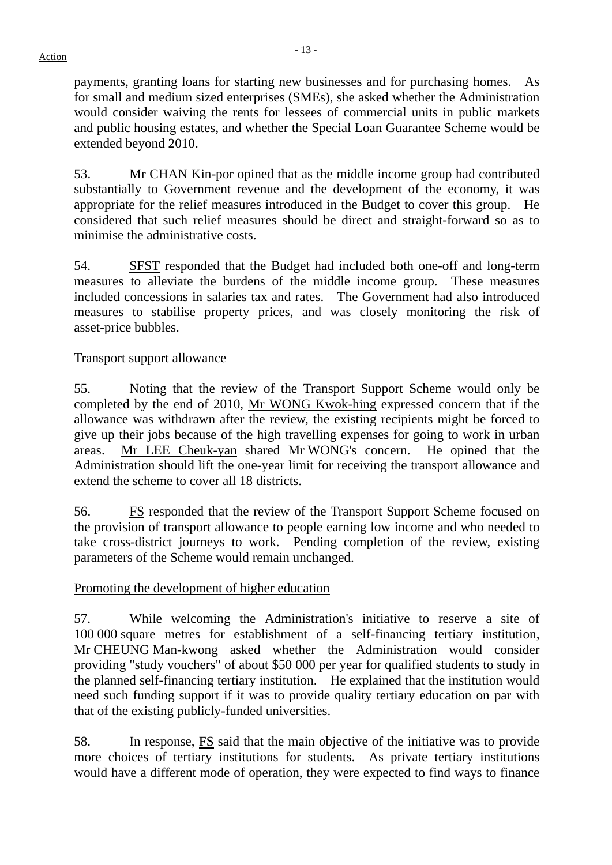payments, granting loans for starting new businesses and for purchasing homes. As for small and medium sized enterprises (SMEs), she asked whether the Administration would consider waiving the rents for lessees of commercial units in public markets and public housing estates, and whether the Special Loan Guarantee Scheme would be extended beyond 2010.

53. Mr CHAN Kin-por opined that as the middle income group had contributed substantially to Government revenue and the development of the economy, it was appropriate for the relief measures introduced in the Budget to cover this group. He considered that such relief measures should be direct and straight-forward so as to minimise the administrative costs.

54. SFST responded that the Budget had included both one-off and long-term measures to alleviate the burdens of the middle income group. These measures included concessions in salaries tax and rates. The Government had also introduced measures to stabilise property prices, and was closely monitoring the risk of asset-price bubbles.

#### Transport support allowance

55. Noting that the review of the Transport Support Scheme would only be completed by the end of 2010, Mr WONG Kwok-hing expressed concern that if the allowance was withdrawn after the review, the existing recipients might be forced to give up their jobs because of the high travelling expenses for going to work in urban areas. Mr LEE Cheuk-yan shared Mr WONG's concern. He opined that the Administration should lift the one-year limit for receiving the transport allowance and extend the scheme to cover all 18 districts.

56. FS responded that the review of the Transport Support Scheme focused on the provision of transport allowance to people earning low income and who needed to take cross-district journeys to work. Pending completion of the review, existing parameters of the Scheme would remain unchanged.

#### Promoting the development of higher education

57. While welcoming the Administration's initiative to reserve a site of 100 000 square metres for establishment of a self-financing tertiary institution, Mr CHEUNG Man-kwong asked whether the Administration would consider providing "study vouchers" of about \$50 000 per year for qualified students to study in the planned self-financing tertiary institution. He explained that the institution would need such funding support if it was to provide quality tertiary education on par with that of the existing publicly-funded universities.

58. In response, FS said that the main objective of the initiative was to provide more choices of tertiary institutions for students. As private tertiary institutions would have a different mode of operation, they were expected to find ways to finance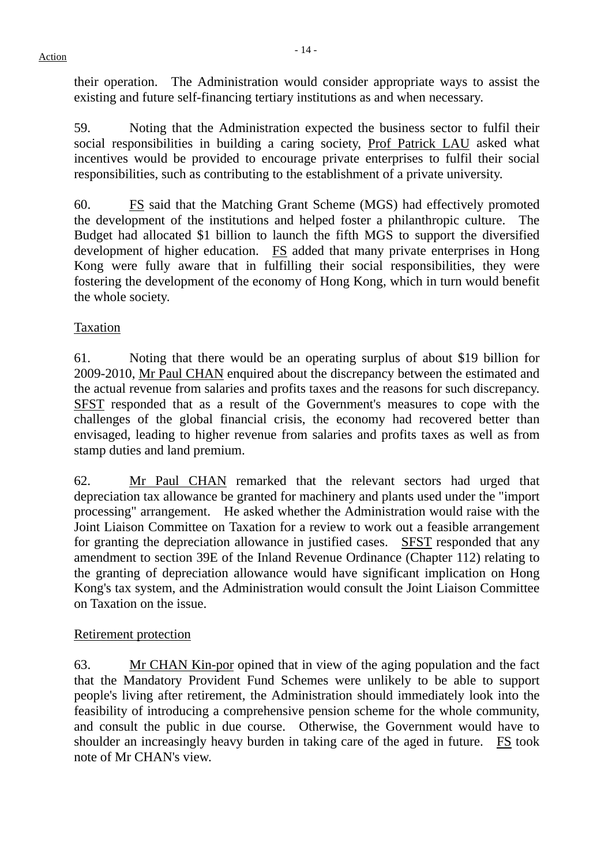- 14 - Action

their operation. The Administration would consider appropriate ways to assist the existing and future self-financing tertiary institutions as and when necessary.

59. Noting that the Administration expected the business sector to fulfil their social responsibilities in building a caring society, Prof Patrick LAU asked what incentives would be provided to encourage private enterprises to fulfil their social responsibilities, such as contributing to the establishment of a private university.

60. FS said that the Matching Grant Scheme (MGS) had effectively promoted the development of the institutions and helped foster a philanthropic culture. The Budget had allocated \$1 billion to launch the fifth MGS to support the diversified development of higher education. FS added that many private enterprises in Hong Kong were fully aware that in fulfilling their social responsibilities, they were fostering the development of the economy of Hong Kong, which in turn would benefit the whole society.

# Taxation

61. Noting that there would be an operating surplus of about \$19 billion for 2009-2010, Mr Paul CHAN enquired about the discrepancy between the estimated and the actual revenue from salaries and profits taxes and the reasons for such discrepancy. SFST responded that as a result of the Government's measures to cope with the challenges of the global financial crisis, the economy had recovered better than envisaged, leading to higher revenue from salaries and profits taxes as well as from stamp duties and land premium.

62. Mr Paul CHAN remarked that the relevant sectors had urged that depreciation tax allowance be granted for machinery and plants used under the "import processing" arrangement. He asked whether the Administration would raise with the Joint Liaison Committee on Taxation for a review to work out a feasible arrangement for granting the depreciation allowance in justified cases. SFST responded that any amendment to section 39E of the Inland Revenue Ordinance (Chapter 112) relating to the granting of depreciation allowance would have significant implication on Hong Kong's tax system, and the Administration would consult the Joint Liaison Committee on Taxation on the issue.

# Retirement protection

63. Mr CHAN Kin-por opined that in view of the aging population and the fact that the Mandatory Provident Fund Schemes were unlikely to be able to support people's living after retirement, the Administration should immediately look into the feasibility of introducing a comprehensive pension scheme for the whole community, and consult the public in due course. Otherwise, the Government would have to shoulder an increasingly heavy burden in taking care of the aged in future. FS took note of Mr CHAN's view.